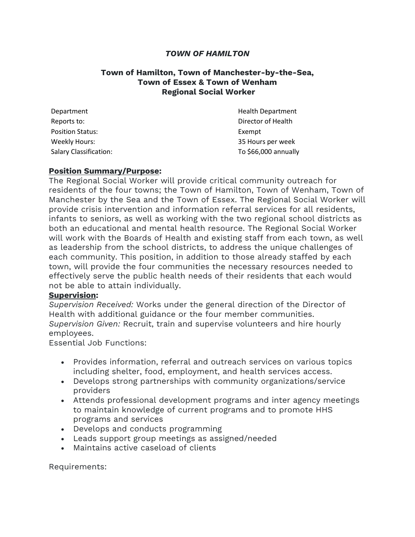## *TOWN OF HAMILTON*

## **Town of Hamilton, Town of Manchester-by-the-Sea, Town of Essex & Town of Wenham Regional Social Worker**

| Department                    | <b>Health Department</b> |
|-------------------------------|--------------------------|
| Reports to:                   | Director of Health       |
| <b>Position Status:</b>       | Exempt                   |
| Weekly Hours:                 | 35 Hours per week        |
| <b>Salary Classification:</b> | To \$66,000 annually     |

## **Position Summary/Purpose:**

The Regional Social Worker will provide critical community outreach for residents of the four towns; the Town of Hamilton, Town of Wenham, Town of Manchester by the Sea and the Town of Essex. The Regional Social Worker will provide crisis intervention and information referral services for all residents, infants to seniors, as well as working with the two regional school districts as both an educational and mental health resource. The Regional Social Worker will work with the Boards of Health and existing staff from each town, as well as leadership from the school districts, to address the unique challenges of each community. This position, in addition to those already staffed by each town, will provide the four communities the necessary resources needed to effectively serve the public health needs of their residents that each would not be able to attain individually.

## **Supervision:**

*Supervision Received:* Works under the general direction of the Director of Health with additional guidance or the four member communities. *Supervision Given:* Recruit, train and supervise volunteers and hire hourly employees.

Essential Job Functions:

- Provides information, referral and outreach services on various topics including shelter, food, employment, and health services access.
- Develops strong partnerships with community organizations/service providers
- Attends professional development programs and inter agency meetings to maintain knowledge of current programs and to promote HHS programs and services
- Develops and conducts programming
- Leads support group meetings as assigned/needed
- Maintains active caseload of clients

Requirements: